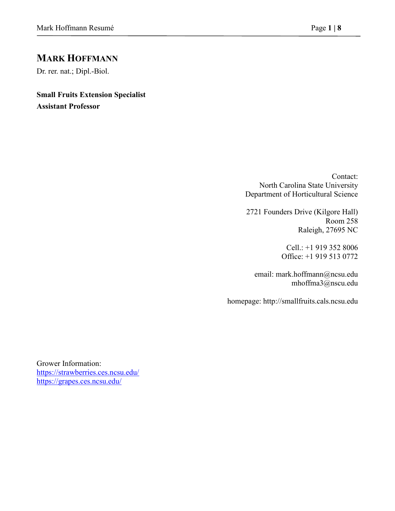# **MARK HOFFMANN**

Dr. rer. nat.; Dipl.-Biol.

**Small Fruits Extension Specialist Assistant Professor**

> Contact: North Carolina State University Department of Horticultural Science

> 2721 Founders Drive (Kilgore Hall) Room 258 Raleigh, 27695 NC

> > Cell.: +1 919 352 8006 Office: +1 919 513 0772

email: [mark.hoffmann@ncsu.edu](mailto:mark.hoffmann@ncsu.edu) [mhoffma3@nscu.edu](mailto:mhoffma3@nscu.edu)

homepage: [http://smallfruits.cals.ncsu.edu](http://smallfruits.cals.ncsu.edu/)

Grower Information: <https://strawberries.ces.ncsu.edu/> <https://grapes.ces.ncsu.edu/>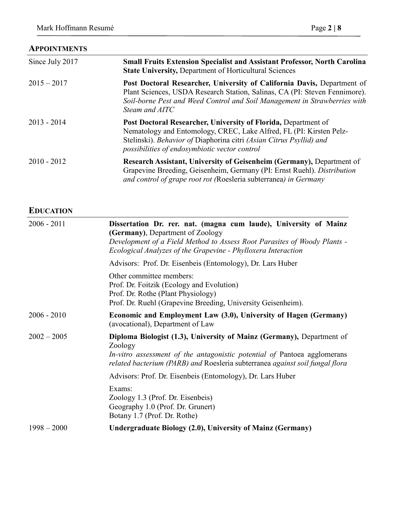# **APPOINTMENTS**

| Since July 2017 | <b>Small Fruits Extension Specialist and Assistant Professor, North Carolina</b><br><b>State University, Department of Horticultural Sciences</b>                                                                                                             |
|-----------------|---------------------------------------------------------------------------------------------------------------------------------------------------------------------------------------------------------------------------------------------------------------|
| $2015 - 2017$   | Post Doctoral Researcher, University of California Davis, Department of<br>Plant Sciences, USDA Research Station, Salinas, CA (PI: Steven Fennimore).<br>Soil-borne Pest and Weed Control and Soil Management in Strawberries with<br>Steam and AITC          |
| $2013 - 2014$   | Post Doctoral Researcher, University of Florida, Department of<br>Nematology and Entomology, CREC, Lake Alfred, FL (PI: Kirsten Pelz-<br>Stelinski). Behavior of Diaphorina citri (Asian Citrus Psyllid) and<br>possibilities of endosymbiotic vector control |
| $2010 - 2012$   | Research Assistant, University of Geisenheim (Germany), Department of<br>Grapevine Breeding, Geisenheim, Germany (PI: Ernst Ruehl). Distribution<br>and control of grape root rot (Roesleria subterranea) in Germany                                          |

# **EDUCATION**

| $2006 - 2011$ | Dissertation Dr. rer. nat. (magna cum laude), University of Mainz<br>(Germany), Department of Zoology<br>Development of a Field Method to Assess Root Parasites of Woody Plants -<br>Ecological Analyzes of the Grapevine - Phylloxera Interaction |
|---------------|----------------------------------------------------------------------------------------------------------------------------------------------------------------------------------------------------------------------------------------------------|
|               | Advisors: Prof. Dr. Eisenbeis (Entomology), Dr. Lars Huber                                                                                                                                                                                         |
|               | Other committee members:<br>Prof. Dr. Foitzik (Ecology and Evolution)<br>Prof. Dr. Rothe (Plant Physiology)<br>Prof. Dr. Ruehl (Grapevine Breeding, University Geisenheim).                                                                        |
| $2006 - 2010$ | Economic and Employment Law (3.0), University of Hagen (Germany)<br>(avocational), Department of Law                                                                                                                                               |
| $2002 - 2005$ | Diploma Biologist (1.3), University of Mainz (Germany), Department of<br>Zoology<br>In-vitro assessment of the antagonistic potential of Pantoea agglomerans<br>related bacterium (PARB) and Roesleria subterranea against soil fungal flora       |
|               | Advisors: Prof. Dr. Eisenbeis (Entomology), Dr. Lars Huber                                                                                                                                                                                         |
|               | Exams:<br>Zoology 1.3 (Prof. Dr. Eisenbeis)<br>Geography 1.0 (Prof. Dr. Grunert)<br>Botany 1.7 (Prof. Dr. Rothe)                                                                                                                                   |
| $1998 - 2000$ | Undergraduate Biology (2.0), University of Mainz (Germany)                                                                                                                                                                                         |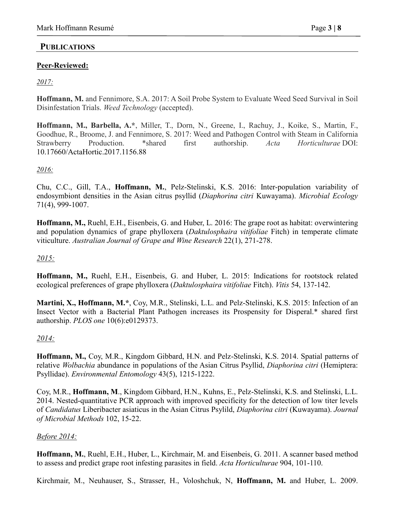## **PUBLICATIONS**

## **Peer-Reviewed:**

## *2017:*

**Hoffmann, M.** and Fennimore, S.A. 2017: A Soil Probe System to Evaluate Weed Seed Survival in Soil Disinfestation Trials. *Weed Technology* (accepted).

**Hoffmann, M., Barbella, A.\***, Miller, T., Dorn, N., Greene, I., Rachuy, J., Koike, S., Martin, F., Goodhue, R., Broome, J. and Fennimore, S. 2017: Weed and Pathogen Control with Steam in California Strawberry Production. \*shared first authorship. *Acta Horticulturae* DOI: [10.17660/ActaHortic.2017.1156.88](https://doi.org/10.17660/ActaHortic.2017.1156.88)

#### *2016:*

Chu, C.C., Gill, T.A., **Hoffmann, M.**, Pelz-Stelinski, K.S. 2016: Inter-population variability of endosymbiont densities in the Asian citrus psyllid (*Diaphorina citri* Kuwayama). *Microbial Ecology* 71(4), 999-1007.

**Hoffmann, M.,** Ruehl, E.H., Eisenbeis, G. and Huber, L. 2016: The grape root as habitat: overwintering and population dynamics of grape phylloxera (*Daktulosphaira vitifoliae* Fitch) in temperate climate viticulture. *Australian Journal of Grape and Wine Research* 22(1), 271-278.

## *2015:*

**Hoffmann, M.,** Ruehl, E.H., Eisenbeis, G. and Huber, L. 2015: Indications for rootstock related ecological preferences of grape phylloxera (*Daktulosphaira vitifoliae* Fitch). *Vitis* 54, 137-142.

**Martini, X., Hoffmann, M.\***, Coy, M.R., Stelinski, L.L. and Pelz-Stelinski, K.S. 2015: Infection of an Insect Vector with a Bacterial Plant Pathogen increases its Prospensity for Disperal.\* shared first authorship. *PLOS one* 10(6):e0129373.

#### *2014:*

**Hoffmann, M.,** Coy, M.R., Kingdom Gibbard, H.N. and Pelz-Stelinski, K.S. 2014. Spatial patterns of relative *Wolbachia* abundance in populations of the Asian Citrus Psyllid, *Diaphorina citri* (Hemiptera: Psyllidae). *Environmental Entomology*.43(5), 1215-1222.

Coy, M.R., **Hoffmann, M**., Kingdom Gibbard, H.N., Kuhns, E., Pelz-Stelinski, K.S. and Stelinski, L.L. 2014. Nested-quantitative PCR approach with improved specificity for the detection of low titer levels of *Candidatus* Liberibacter asiaticus in the Asian Citrus Psylild, *Diaphorina citri* (Kuwayama). *Journal of Microbial Methods* 102, 15-22.

#### *Before 2014:*

**Hoffmann, M.**, Ruehl, E.H., Huber, L., Kirchmair, M. and Eisenbeis, G. 2011. A scanner based method to assess and predict grape root infesting parasites in field. *Acta Horticulturae* 904, 101-110.

Kirchmair, M., Neuhauser, S., Strasser, H., Voloshchuk, N, **Hoffmann, M.** and Huber, L. 2009.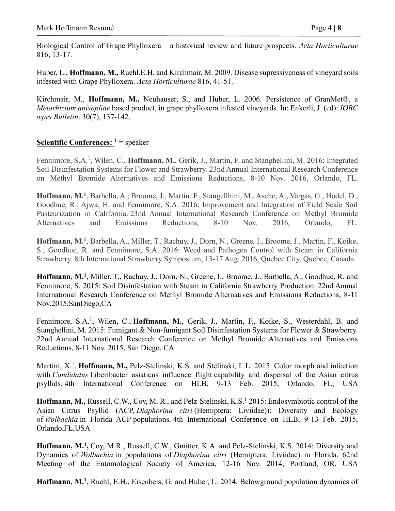Biological Control of Grape Phylloxera – a historical review and future prospects. *Acta Horticulturae* 816, 13-17.

Huber, L., **Hoffmann, M.,** Ruehl.E.H. and Kirchmair, M. 2009. Disease supressiveness of vineyard soils infested with Grape Phylloxera. *Acta Horticulturae* 816, 41-51.

Kirchmair, M., **Hoffmann, M.,** Neuhauser, S., and Huber, L. 2006. Persistence of GranMet®, a *Metarhizium anisopliae* based product, in grape phylloxera infested vineyards. In: Enkerli, J. (ed): *IOBC wprs Bulletin*. 30(7), 137-142.

# **<u>Scientific Conferences:**</u>  $1 =$  speaker

Fennimore, S.A.<sup>1</sup>, Wilen, C., **Hoffmann, M.**, Gerik, J., Martin, F. and Stanghellini, M. 2016: Integrated Soil Disinfestation Systems for Flower and Strawberry. 23nd Annual International Research Conference on Methyl Bromide Alternatives and Emissions Reductions, 8-10 Nov. 2016, Orlando, FL.

**Hoffmann, M.<sup>1</sup>** , Barbella, A., Broome, J., Martin, F., Stangellhini, M., Asche, A., Vargas, G., Hodel, D., Goodhue, R., Ajwa, H. and Fennimore, S.A. 2016: Improvement and Integration of Field Scale Soil Pasteurization in California. 23nd Annual International Research Conference on Methyl Bromide Alternatives and Emissions Reductions, 8-10 Nov. 2016, Orlando, FL.

Hoffmann, M.<sup>1</sup>, Barbella, A., Miller, T., Rachuy, J., Dorn, N., Greene, I., Broome, J., Martin, F., Koike, S., Goodhue, R. and Fennimore, S.A. 2016: Weed and Pathogen Control with Steam in California Strawberry. 8th International Strawberry Symposium, 13-17 Aug. 2016, Quebec City, Quebec, Canada.

**Hoffmann, M.<sup>1</sup>** , Miller, T., Rachuy, J., Dorn, N., Greene, I., Broome, J., Barbella, A., Goodhue, R. and Fennimore, S. 2015: Soil Disinfestation with Steam in California Strawberry Production. 22nd Annual International Research Conference on Methyl Bromide Alternatives and Emissions Reductions, 8-11 Nov.2015,SanDiego,CA

Fennimore, S.A.<sup>1</sup>, Wilen, C., **Hoffmann, M.**, Gerik, J., Martin, F., Koike, S., Westerdahl, B. and Stanghellini, M. 2015: Fumigant & Non-fumigant Soil Disinfestation Systems for Flower & Strawberry. 22nd Annual International Research Conference on Methyl Bromide Alternatives and Emissions Reductions, 8-11 Nov. 2015, San Diego, CA

Martini, X.<sup>1</sup>, Hoffmann, M., Pelz-Stelinski, K.S. and Stelinski, L.L. 2015: Color morph and infection with *Candidatus* Liberibacter asiaticus influence flight capability and dispersal of the Asian citrus psyllids. 4th International Conference on HLB, 9-13 Feb. 2015, Orlando, FL, USA

Hoffmann, M., Russell, C.W., Coy, M. R., and Pelz-Stelinski, K.S.<sup>1</sup> 2015: Endosymbiotic control of the Asian Citrus Psyllid (ACP, *Diaphorina citri* (Hemiptera: Liviidae)): Diversity and Ecology of *Wolbachia* in Florida ACP populations. 4th International Conference on HLB, 9-13 Feb. 2015, Orlando,FL,USA

**Hoffmann, M.<sup>1</sup> ,** Coy, M.R., Russell, C.W., Gmitter, K.A. and Pelz-Stelinski, K.S. 2014: Diversity and Dynamics of *Wolbachia* in populations of *Diaphorina citri* (Hemiptera: Liviidae) in Florida. 62nd Meeting of the Entomological Society of America, 12-16 Nov. 2014, Portland, OR, USA

Hoffmann, M.<sup>1</sup>, Ruehl, E.H., Eisenbeis, G. and Huber, L. 2014. Belowground population dynamics of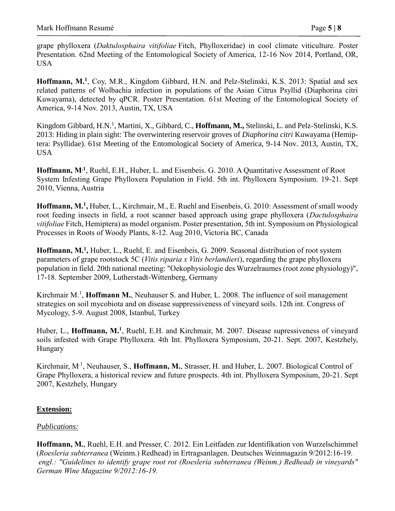grape phylloxera (*Daktulosphaira vitifoliae* Fitch, Phylloxeridae) in cool climate viticulture. Poster Presentation. 62nd Meeting of the Entomological Society of America, 12-16 Nov 2014, Portland, OR, USA

Hoffmann, M.<sup>1</sup>, Coy, M.R., Kingdom Gibbard, H.N. and Pelz-Stelinski, K.S. 2013: Spatial and sex related patterns of Wolbachia infection in populations of the Asian Citrus Psyllid (Diaphorina citri Kuwayama), detected by qPCR. Poster Presentation. 61st Meeting of the Entomological Society of America, 9-14 Nov. 2013, Austin, TX, USA

Kingdom Gibbard, H.N.<sup>1</sup>, Martini, X., Gibbard, C., **Hoffmann, M.,** Stelinski, L. and Pelz-Stelinski, K.S. 2013: Hiding in plain sight: The overwintering reservoir groves of *Diaphorina citri* Kuwayama (Hemiptera: Psyllidae). 61st Meeting of the Entomological Society of America, 9-14 Nov. 2013, Austin, TX, USA

**Hoffmann, M.1**, Ruehl, E.H., Huber, L. and Eisenbeis. G. 2010. A Quantitative Assessment of Root System Infesting Grape Phylloxera Population in Field. 5th int. Phylloxera Symposium. 19-21. Sept 2010, Vienna, Austria

Hoffmann, M.<sup>1</sup>, Huber, L., Kirchmair, M., E. Ruehl and Eisenbeis, G. 2010: Assessment of small woody root feeding insects in field, a root scanner based approach using grape phylloxera (*Dactulosphaira vitifoliae* Fitch, Hemiptera) as model organism. Poster presentation, 5th int. Symposium on Physiological Processes in Roots of Woody Plants, 8-12. Aug 2010, Victoria BC, Canada

Hoffmann, M.<sup>1</sup>, Huber, L., Ruehl, E. and Eisenbeis, G. 2009. Seasonal distribution of root system parameters of grape rootstock 5C (*Vitis riparia x Vitis berlandieri*), regarding the grape phylloxera population in field. 20th national meeting: "Oekophysiologie des Wurzelraumes (root zone physiology)", 17-18. September 2009, Lutherstadt-Wittenberg, Germany

Kirchmair M.<sup>1</sup>, **Hoffmann M.**, Neuhauser S. and Huber, L. 2008. The influence of soil management strategies on soil mycobiota and on disease suppressiveness of vineyard soils. 12th int. Congress of Mycology, 5-9. August 2008, Istanbul, Turkey

Huber, L., Hoffmann, M.<sup>1</sup>, Ruehl, E.H. and Kirchmair, M. 2007. Disease supressiveness of vineyard soils infested with Grape Phylloxera. 4th Int. Phylloxera Symposium, 20-21. Sept. 2007, Kestzhely, Hungary

Kirchmair, M.1, Neuhauser, S., **Hoffmann, M.**, Strasser, H. and Huber, L. 2007. Biological Control of Grape Phylloxera, a historical review and future prospects. 4th int. Phylloxera Symposium, 20-21. Sept 2007, Kestzhely, Hungary

#### **Extension:**

#### *Publications:*

**Hoffmann, M.**, Ruehl, E.H. and Presser, C. 2012. Ein Leitfaden zur Identifikation von Wurzelschimmel (*Roesleria subterranea* (Weinm.) Redhead) in Ertragsanlagen. Deutsches Weinmagazin 9/2012:16-19. *engl.: "Guidelines to identify grape root rot (Roesleria subterranea (Weinm.) Redhead) in vineyards" German Wine Magazine 9/2012:16-19.*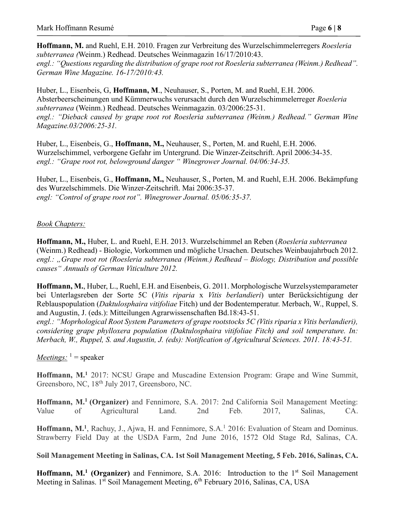**Hoffmann, M.** and Ruehl, E.H. 2010. Fragen zur Verbreitung des Wurzelschimmelerregers *Roesleria subterranea (*Weinm.) Redhead. Deutsches Weinmagazin 16/17/2010:43. *engl.: "Questions regarding the distribution of grape root rot Roesleria subterranea (Weinm.) Redhead".* 

*German Wine Magazine. 16-17/2010:43.*

Huber, L., Eisenbeis, G, **Hoffmann, M**., Neuhauser, S., Porten, M. and Ruehl, E.H. 2006. Absterbeerscheinungen und Kümmerwuchs verursacht durch den Wurzelschimmelerreger *Roesleria subterranea* (Weinm.) Redhead. Deutsches Weinmagazin. 03/2006:25-31. *engl.: "Dieback caused by grape root rot Roesleria subterranea (Weinm.) Redhead." German Wine Magazine.03/2006:25-31.*

Huber, L., Eisenbeis, G., **Hoffmann, M.,** Neuhauser, S., Porten, M. and Ruehl, E.H. 2006. Wurzelschimmel, verborgene Gefahr im Untergrund. Die Winzer-Zeitschrift. April 2006:34-35. *engl.: "Grape root rot, belowground danger " Winegrower Journal. 04/06:34-35.*

Huber, L., Eisenbeis, G., **Hoffmann, M.,** Neuhauser, S., Porten, M. and Ruehl, E.H. 2006. Bekämpfung des Wurzelschimmels. Die Winzer-Zeitschrift. Mai 2006:35-37. *engl: "Control of grape root rot". Winegrower Journal. 05/06:35-37.*

#### *Book Chapters:*

**Hoffmann, M.,** Huber, L. and Ruehl, E.H. 2013. Wurzelschimmel an Reben (*Roesleria subterranea* (Weinm.) Redhead) - Biologie, Vorkommen und mögliche Ursachen. Deutsches Weinbaujahrbuch 2012. *engl.: "Grape root rot (Roesleria subterranea (Weinm.) Redhead – Biology, Distribution and possible causes" Annuals of German Viticulture 2012.* 

**Hoffmann, M.**, Huber, L., Ruehl, E.H. and Eisenbeis, G. 2011. Morphologische Wurzelsystemparameter bei Unterlagsreben der Sorte 5C (*Vitis riparia* x *Vitis berlandieri*) unter Berücksichtigung der Reblauspopulation (*Daktulosphaira vitifoliae* Fitch) und der Bodentemperatur. Merbach, W., Ruppel, S. and Augustin, J. (eds.): Mitteilungen Agrarwissenschaften Bd.18:43-51.

*engl.: "Moprhological Root System Parameters of grape rootstocks 5C (Vitis riparia x Vitis berlandieri), considering grape phylloxera population (Daktulosphaira vitifoliae Fitch) and soil temperature. In: Merbach, W., Ruppel, S. and Augustin, J. (eds): Notification of Agricultural Sciences. 2011. 18:43-51.*

### *Meetings*:  $1 = \text{speaker}$

**Hoffmann, M.<sup>1</sup>** 2017: NCSU Grape and Muscadine Extension Program: Grape and Wine Summit, Greensboro, NC, 18<sup>th</sup> July 2017, Greensboro, NC.

**Hoffmann, M.<sup>1</sup>(Organizer)** and Fennimore, S.A. 2017: 2nd California Soil Management Meeting: Value of Agricultural Land. 2nd Feb. 2017, Salinas, CA.

Hoffmann, M.<sup>1</sup>, Rachuy, J., Ajwa, H. and Fennimore, S.A.<sup>1</sup> 2016: Evaluation of Steam and Dominus. Strawberry Field Day at the USDA Farm, 2nd June 2016, 1572 Old Stage Rd, Salinas, CA.

**Soil Management Meeting in Salinas, CA. 1st Soil Management Meeting, 5 Feb. 2016, Salinas, CA.**

Hoffmann, M.<sup>1</sup> (Organizer) and Fennimore, S.A. 2016: Introduction to the 1<sup>st</sup> Soil Management Meeting in Salinas.  $1^{st}$  Soil Management Meeting,  $6^{th}$  February 2016, Salinas, CA, USA